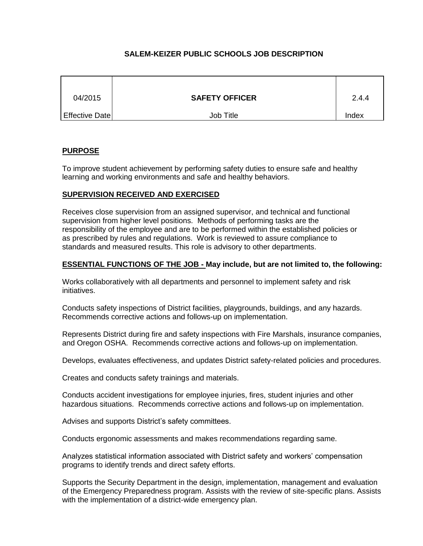# **SALEM-KEIZER PUBLIC SCHOOLS JOB DESCRIPTION**

| 04/2015        | <b>SAFETY OFFICER</b> | 2.4.4 |
|----------------|-----------------------|-------|
| Effective Date | Job Title             | Index |

## **PURPOSE**

To improve student achievement by performing safety duties to ensure safe and healthy learning and working environments and safe and healthy behaviors.

## **SUPERVISION RECEIVED AND EXERCISED**

Receives close supervision from an assigned supervisor, and technical and functional supervision from higher level positions. Methods of performing tasks are the responsibility of the employee and are to be performed within the established policies or as prescribed by rules and regulations. Work is reviewed to assure compliance to standards and measured results. This role is advisory to other departments.

## **ESSENTIAL FUNCTIONS OF THE JOB - May include, but are not limited to, the following:**

Works collaboratively with all departments and personnel to implement safety and risk initiatives.

Conducts safety inspections of District facilities, playgrounds, buildings, and any hazards. Recommends corrective actions and follows-up on implementation.

Represents District during fire and safety inspections with Fire Marshals, insurance companies, and Oregon OSHA. Recommends corrective actions and follows-up on implementation.

Develops, evaluates effectiveness, and updates District safety-related policies and procedures.

Creates and conducts safety trainings and materials.

Conducts accident investigations for employee injuries, fires, student injuries and other hazardous situations. Recommends corrective actions and follows-up on implementation.

Advises and supports District's safety committees.

Conducts ergonomic assessments and makes recommendations regarding same.

Analyzes statistical information associated with District safety and workers' compensation programs to identify trends and direct safety efforts.

Supports the Security Department in the design, implementation, management and evaluation of the Emergency Preparedness program. Assists with the review of site-specific plans. Assists with the implementation of a district-wide emergency plan.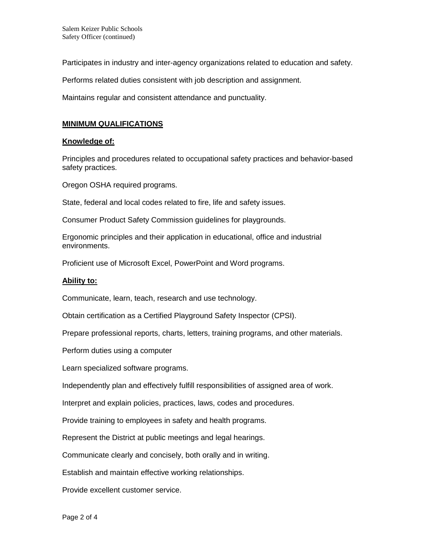Participates in industry and inter-agency organizations related to education and safety.

Performs related duties consistent with job description and assignment.

Maintains regular and consistent attendance and punctuality.

## **MINIMUM QUALIFICATIONS**

### **Knowledge of:**

Principles and procedures related to occupational safety practices and behavior-based safety practices.

Oregon OSHA required programs.

State, federal and local codes related to fire, life and safety issues.

Consumer Product Safety Commission guidelines for playgrounds.

Ergonomic principles and their application in educational, office and industrial environments.

Proficient use of Microsoft Excel, PowerPoint and Word programs.

### **Ability to:**

Communicate, learn, teach, research and use technology.

Obtain certification as a Certified Playground Safety Inspector (CPSI).

Prepare professional reports, charts, letters, training programs, and other materials.

Perform duties using a computer

Learn specialized software programs.

Independently plan and effectively fulfill responsibilities of assigned area of work.

Interpret and explain policies, practices, laws, codes and procedures.

Provide training to employees in safety and health programs.

Represent the District at public meetings and legal hearings.

Communicate clearly and concisely, both orally and in writing.

Establish and maintain effective working relationships.

Provide excellent customer service.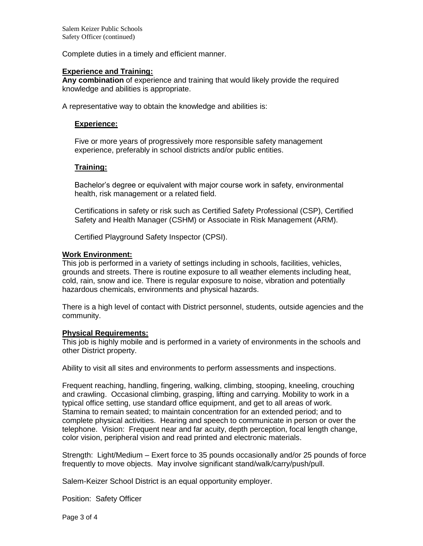Complete duties in a timely and efficient manner.

#### **Experience and Training:**

**Any combination** of experience and training that would likely provide the required knowledge and abilities is appropriate.

A representative way to obtain the knowledge and abilities is:

#### **Experience:**

Five or more years of progressively more responsible safety management experience, preferably in school districts and/or public entities.

#### **Training:**

Bachelor's degree or equivalent with major course work in safety, environmental health, risk management or a related field.

Certifications in safety or risk such as Certified Safety Professional (CSP), Certified Safety and Health Manager (CSHM) or Associate in Risk Management (ARM).

Certified Playground Safety Inspector (CPSI).

#### **Work Environment:**

This job is performed in a variety of settings including in schools, facilities, vehicles, grounds and streets. There is routine exposure to all weather elements including heat, cold, rain, snow and ice. There is regular exposure to noise, vibration and potentially hazardous chemicals, environments and physical hazards.

There is a high level of contact with District personnel, students, outside agencies and the community.

#### **Physical Requirements:**

This job is highly mobile and is performed in a variety of environments in the schools and other District property.

Ability to visit all sites and environments to perform assessments and inspections.

Frequent reaching, handling, fingering, walking, climbing, stooping, kneeling, crouching and crawling. Occasional climbing, grasping, lifting and carrying. Mobility to work in a typical office setting, use standard office equipment, and get to all areas of work. Stamina to remain seated; to maintain concentration for an extended period; and to complete physical activities. Hearing and speech to communicate in person or over the telephone. Vision: Frequent near and far acuity, depth perception, focal length change, color vision, peripheral vision and read printed and electronic materials.

Strength: Light/Medium – Exert force to 35 pounds occasionally and/or 25 pounds of force frequently to move objects. May involve significant stand/walk/carry/push/pull.

Salem-Keizer School District is an equal opportunity employer.

Position: Safety Officer